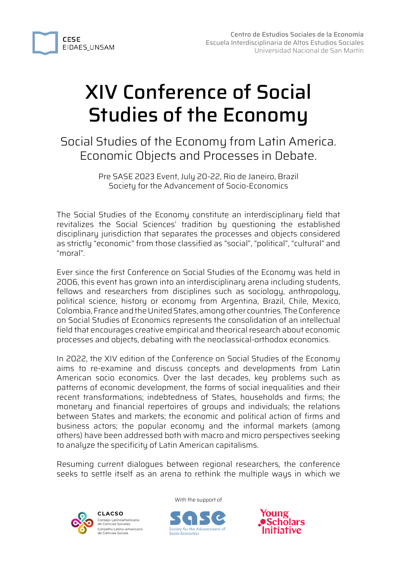

# XIV Conference of Social Studies of the Economy

Social Studies of the Economy from Latin America. Economic Objects and Processes in Debate.

> Pre SASE 2023 Event, July 20-22, Rio de Janeiro, Brazil Society for the Advancement of Socio-Economics

The Social Studies of the Economy constitute an interdisciplinary field that revitalizes the Social Sciences' tradition by questioning the established disciplinary jurisdiction that separates the processes and objects considered as strictly "economic" from those classified as "social", "political", "cultural" and "moral".

Ever since the first Conference on Social Studies of the Economy was held in 2006, this event has grown into an interdisciplinary arena including students, fellows and researchers from disciplines such as sociology, anthropology, political science, history or economy from Argentina, Brazil, Chile, Mexico, Colombia, France and the United States, among other countries. The Conference on Social Studies of Economics represents the consolidation of an intellectual field that encourages creative empirical and theorical research about economic processes and objects, debating with the neoclassical-orthodox economics.

In 2022, the XIV edition of the Conference on Social Studies of the Economy aims to re-examine and discuss concepts and developments from Latin American socio economics. Over the last decades, key problems such as patterns of economic development, the forms of social inequalities and their recent transformations; indebtedness of States, households and firms; the monetary and financial repertoires of groups and individuals; the relations between States and markets; the economic and political action of firms and business actors; the popular economy and the informal markets (among others) have been addressed both with macro and micro perspectives seeking to analyze the specificity of Latin American capitalisms.

Resuming current dialogues between regional researchers, the conference seeks to settle itself as an arena to rethink the multiple ways in which we



**CLACSO** Consejo Latinoamericano de Ciencias Sociales Conselho Latino-americano de Ciências Sociais



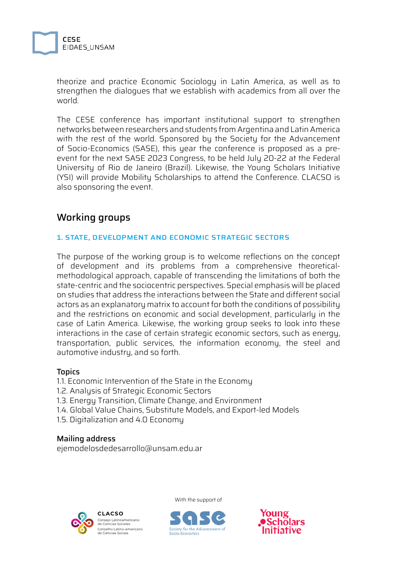

theorize and practice Economic Sociology in Latin America, as well as to strengthen the dialogues that we establish with academics from all over the world.

The CESE conference has important institutional support to strengthen networks between researchers and students from Argentina and Latin America with the rest of the world. Sponsored by the Society for the Advancement of Socio-Economics (SASE), this year the conference is proposed as a preevent for the next SASE 2023 Congress, to be held July 20-22 at the Federal University of Rio de Janeiro (Brazil). Likewise, the Young Scholars Initiative (YSI) will provide Mobility Scholarships to attend the Conference. CLACSO is also sponsoring the event.

## Working groups

#### 1. STATE, DEVELOPMENT AND ECONOMIC STRATEGIC SECTORS

The purpose of the working group is to welcome reflections on the concept of development and its problems from a comprehensive theoreticalmethodological approach, capable of transcending the limitations of both the state-centric and the sociocentric perspectives. Special emphasis will be placed on studies that address the interactions between the State and different social actors as an explanatory matrix to account for both the conditions of possibility and the restrictions on economic and social development, particularly in the case of Latin America. Likewise, the working group seeks to look into these interactions in the case of certain strategic economic sectors, such as energy, transportation, public services, the information economy, the steel and automotive industry, and so forth.

#### Topics

1.1. Economic Intervention of the State in the Economy

- 1.2. Analysis of Strategic Economic Sectors
- 1.3. Energy Transition, Climate Change, and Environment
- 1.4. Global Value Chains, Substitute Models, and Export-led Models
- 1.5. Digitalization and 4.0 Economy

#### Mailing address

ejemodelosdedesarrollo@unsam.edu.ar





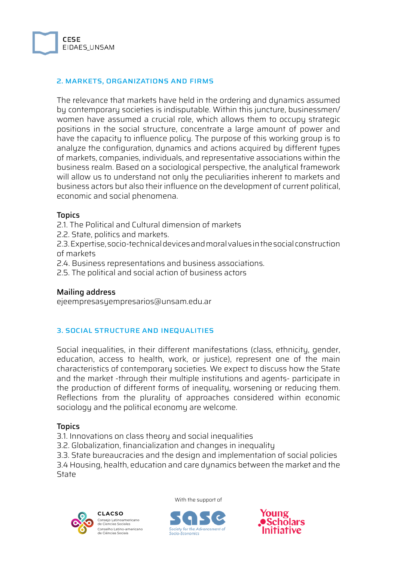

#### 2. MARKETS, ORGANIZATIONS AND FIRMS

The relevance that markets have held in the ordering and dynamics assumed by contemporary societies is indisputable. Within this juncture, businessmen/ women have assumed a crucial role, which allows them to occupy strategic positions in the social structure, concentrate a large amount of power and have the capacity to influence policy. The purpose of this working group is to analyze the configuration, dynamics and actions acquired by different types of markets, companies, individuals, and representative associations within the business realm. Based on a sociological perspective, the analytical framework will allow us to understand not only the peculiarities inherent to markets and business actors but also their influence on the development of current political, economic and social phenomena.

#### **Topics**

- 2.1. The Political and Cultural dimension of markets
- 2.2. State, politics and markets.
- 2.3. Expertise, socio-technical devices and moral values in the social construction of markets
- 2.4. Business representations and business associations.
- 2.5. The political and social action of business actors

#### Mailing address

ejeempresasyempresarios@unsam.edu.ar

#### 3. SOCIAL STRUCTURE AND INEQUALITIES

Social inequalities, in their different manifestations (class, ethnicity, gender, education, access to health, work, or justice), represent one of the main characteristics of contemporary societies. We expect to discuss how the State and the market -through their multiple institutions and agents- participate in the production of different forms of inequality, worsening or reducing them. Reflections from the plurality of approaches considered within economic sociology and the political economy are welcome.

#### **Topics**

3.1. Innovations on class theory and social inequalities

3.2. Globalization, financialization and changes in inequality

3.3. State bureaucracies and the design and implementation of social policies

3.4 Housing, health, education and care dynamics between the market and the **State** 



**CLACSO** Consejo Latinoamericano de Ciencias Sociales selho Latino-americano de Ciências Sociais



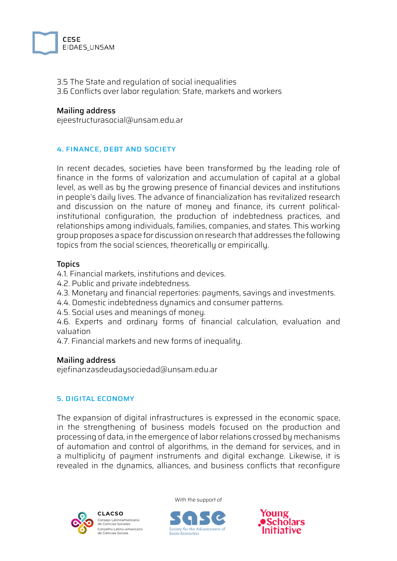

3.5 The State and regulation of social inequalities 3.6 Conflicts over labor regulation: State, markets and workers

#### Mailing address

ejeestructurasocial@unsam.edu.ar

#### 4. FINANCE, DEBT AND SOCIETY

In recent decades, societies have been transformed by the leading role of finance in the forms of valorization and accumulation of capital at a global level, as well as by the growing presence of financial devices and institutions in people's daily lives. The advance of financialization has revitalized research and discussion on the nature of money and finance, its current politicalinstitutional configuration, the production of indebtedness practices, and relationships among individuals, families, companies, and states. This working group proposes a space for discussion on research that addresses the following topics from the social sciences, theoretically or empirically.

#### **Topics**

4.1. Financial markets, institutions and devices.

- 4.2. Public and private indebtedness.
- 4.3. Monetary and financial repertories: payments, savings and investments.
- 4.4. Domestic indebtedness dynamics and consumer patterns.
- 4.5. Social uses and meanings of money.

4.6. Experts and ordinary forms of financial calculation, evaluation and valuation

4.7. Financial markets and new forms of inequality.

#### Mailing address

ejefinanzasdeudaysociedad@unsam.edu.ar

#### 5. DIGITAL ECONOMY

The expansion of digital infrastructures is expressed in the economic space, in the strengthening of business models focused on the production and processing of data, in the emergence of labor relations crossed by mechanisms of automation and control of algorithms, in the demand for services, and in a multiplicity of payment instruments and digital exchange. Likewise, it is revealed in the dynamics, alliances, and business conflicts that reconfigure





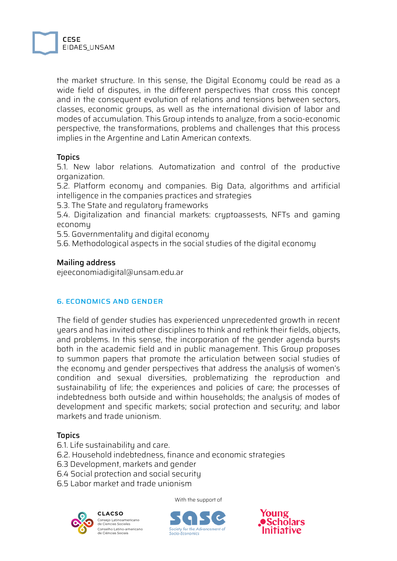

the market structure. In this sense, the Digital Economy could be read as a wide field of disputes, in the different perspectives that cross this concept and in the consequent evolution of relations and tensions between sectors, classes, economic groups, as well as the international division of labor and modes of accumulation. This Group intends to analyze, from a socio-economic perspective, the transformations, problems and challenges that this process implies in the Argentine and Latin American contexts.

#### **Topics**

5.1. New labor relations. Automatization and control of the productive organization.

5.2. Platform economy and companies. Big Data, algorithms and artificial intelligence in the companies practices and strategies

5.3. The State and regulatory frameworks

5.4. Digitalization and financial markets: cryptoassests, NFTs and gaming economy

5.5. Governmentality and digital economy

5.6. Methodological aspects in the social studies of the digital economy

#### Mailing address

ejeeconomiadigital@unsam.edu.ar

#### 6. ECONOMICS AND GENDER

The field of gender studies has experienced unprecedented growth in recent years and has invited other disciplines to think and rethink their fields, objects, and problems. In this sense, the incorporation of the gender agenda bursts both in the academic field and in public management. This Group proposes to summon papers that promote the articulation between social studies of the economy and gender perspectives that address the analysis of women's condition and sexual diversities, problematizing the reproduction and sustainability of life; the experiences and policies of care; the processes of indebtedness both outside and within households; the analysis of modes of development and specific markets; social protection and security; and labor markets and trade unionism.

#### **Topics**

- 6.1. Life sustainability and care.
- 6.2. Household indebtedness, finance and economic strategies
- 6.3 Development, markets and gender
- 6.4 Social protection and social security
- 6.5 Labor market and trade unionism

**CLACSO** Consejo Latinoamericano de Ciencias Sociales Conselho Latino-americano de Ciências Sociais



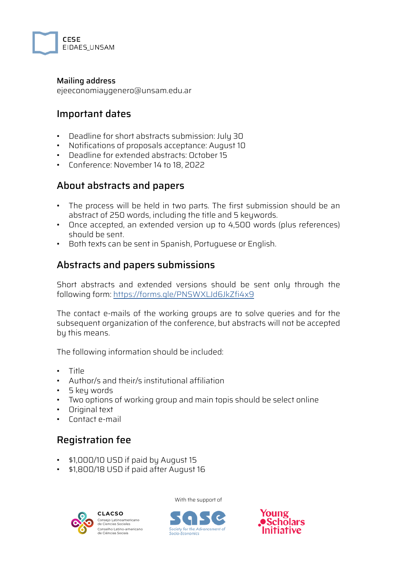

#### Mailing address

ejeeconomiaygenero@unsam.edu.ar

## Important dates

- Deadline for short abstracts submission: July 30
- Notifications of proposals acceptance: August 10
- Deadline for extended abstracts: October 15
- Conference: November 14 to 18, 2022

### About abstracts and papers

- The process will be held in two parts. The first submission should be an abstract of 250 words, including the title and 5 keywords.
- Once accepted, an extended version up to 4,500 words (plus references) should be sent.
- Both texts can be sent in Spanish, Portuguese or English.

## Abstracts and papers submissions

Short abstracts and extended versions should be sent only through the following form: <https://forms.gle/PNSWXLJd6JkZfi4x9>

The contact e-mails of the working groups are to solve queries and for the subsequent organization of the conference, but abstracts will not be accepted by this means.

The following information should be included:

- Title
- Author/s and their/s institutional affiliation
- 5 key words
- Two options of working group and main topis should be select online
- Original text
- Contact e-mail

# Registration fee

- \$1,000/10 USD if paid by August 15
- \$1,800/18 USD if paid after August 16